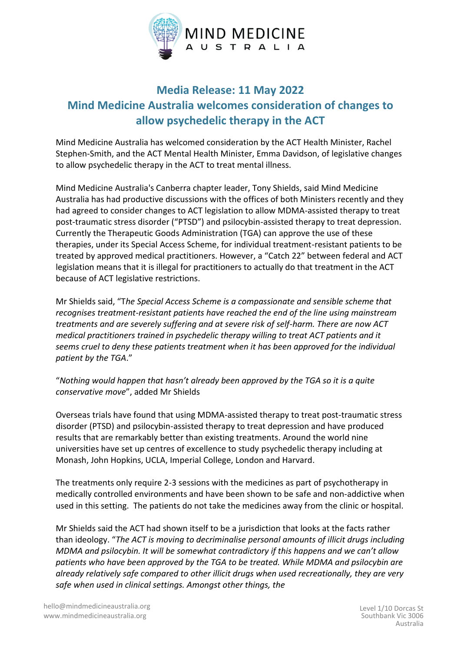

## **Media Release: 11 May 2022 Mind Medicine Australia welcomes consideration of changes to allow psychedelic therapy in the ACT**

Mind Medicine Australia has welcomed consideration by the ACT Health Minister, Rachel Stephen-Smith, and the ACT Mental Health Minister, Emma Davidson, of legislative changes to allow psychedelic therapy in the ACT to treat mental illness.

Mind Medicine Australia's Canberra chapter leader, Tony Shields, said Mind Medicine Australia has had productive discussions with the offices of both Ministers recently and they had agreed to consider changes to ACT legislation to allow MDMA-assisted therapy to treat post-traumatic stress disorder ("PTSD") and psilocybin-assisted therapy to treat depression. Currently the Therapeutic Goods Administration (TGA) can approve the use of these therapies, under its Special Access Scheme, for individual treatment-resistant patients to be treated by approved medical practitioners. However, a "Catch 22" between federal and ACT legislation means that it is illegal for practitioners to actually do that treatment in the ACT because of ACT legislative restrictions.

Mr Shields said, "T*he Special Access Scheme is a compassionate and sensible scheme that recognises treatment-resistant patients have reached the end of the line using mainstream treatments and are severely suffering and at severe risk of self-harm. There are now ACT medical practitioners trained in psychedelic therapy willing to treat ACT patients and it seems cruel to deny these patients treatment when it has been approved for the individual patient by the TGA*."

"*Nothing would happen that hasn't already been approved by the TGA so it is a quite conservative move*", added Mr Shields

Overseas trials have found that using MDMA-assisted therapy to treat post-traumatic stress disorder (PTSD) and psilocybin-assisted therapy to treat depression and have produced results that are remarkably better than existing treatments. Around the world nine universities have set up centres of excellence to study psychedelic therapy including at Monash, John Hopkins, UCLA, Imperial College, London and Harvard.

The treatments only require 2-3 sessions with the medicines as part of psychotherapy in medically controlled environments and have been shown to be safe and non-addictive when used in this setting. The patients do not take the medicines away from the clinic or hospital.

Mr Shields said the ACT had shown itself to be a jurisdiction that looks at the facts rather than ideology. "*The ACT is moving to decriminalise personal amounts of illicit drugs including MDMA and psilocybin. It will be somewhat contradictory if this happens and we can't allow patients who have been approved by the TGA to be treated. While MDMA and psilocybin are already relatively safe compared to other illicit drugs when used recreationally, they are very safe when used in clinical settings. Amongst other things, the*